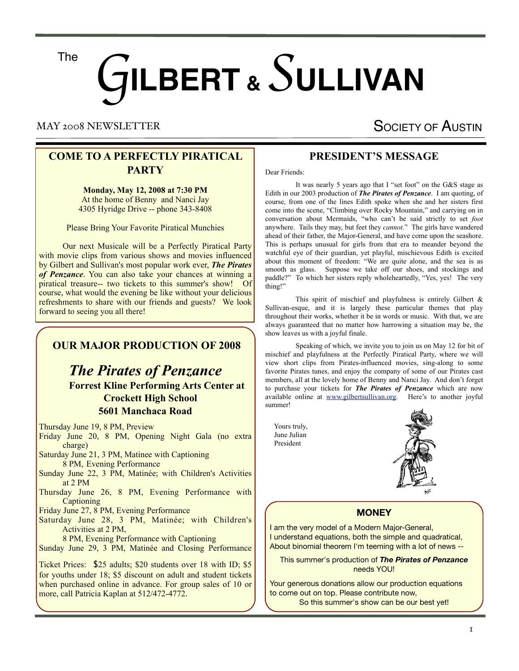The

# G**ILBERT &** *S* **ULLIVAN**

#### MAY 2008 NEWSLETTER

## SOCIETY OF AUSTIN

#### **COME TO A PERFECTLY PIRATICAL PARTY**

**Monday, May 12, 2008 at 7:30 PM** At the home of Benny and Nanci Jay 4305 Hyridge Drive -- phone 343-8408

Please Bring Your Favorite Piratical Munchies

 Our next Musicale will be a Perfectly Piratical Party with movie clips from various shows and movies influenced by Gilbert and Sullivan's most popular work ever, *The Pirates of Penzance*. You can also take your chances at winning a piratical treasure-- two tickets to this summer's show! Of course, what would the evening be like without your delicious refreshments to share with our friends and guests? We look forward to seeing you all there!

#### **OUR MAJOR PRODUCTION OF 2008**

## *The Pirates of Penzance*  **Forrest Kline Performing Arts Center at Crockett High School 5601 Manchaca Road**

Thursday June 19, 8 PM, Preview

Friday June 20, 8 PM, Opening Night Gala (no extra charge)

Saturday June 21, 3 PM, Matinee with Captioning 8 PM, Evening Performance

Sunday June 22, 3 PM, Matinée; with Children's Activities at 2 PM

Thursday June 26, 8 PM, Evening Performance with **Captioning** 

Friday June 27, 8 PM, Evening Performance

Saturday June 28, 3 PM, Matinée; with Children's Activities at 2 PM,

8 PM, Evening Performance with Captioning

Sunday June 29, 3 PM, Matinée and Closing Performance

Ticket Prices: \$25 adults; \$20 students over 18 with ID; \$5 for youths under 18; \$5 discount on adult and student tickets when purchased online in advance. For group sales of 10 or more, call Patricia Kaplan at 512/472-4772.

#### **PRESIDENT'S MESSAGE**

Dear Friends:

 It was nearly 5 years ago that I "set foot" on the G&S stage as Edith in our 2003 production of *The Pirates of Penzance*. I am quoting, of course, from one of the lines Edith spoke when she and her sisters first come into the scene, "Climbing over Rocky Mountain," and carrying on in conversation about Mermaids, "who can't be said strictly to set *foot* anywhere. Tails they may, but feet they *cannot*." The girls have wandered ahead of their father, the Major-General, and have come upon the seashore. This is perhaps unusual for girls from that era to meander beyond the watchful eye of their guardian, yet playful, mischievous Edith is excited about this moment of freedom: "We are quite alone, and the sea is as smooth as glass. Suppose we take off our shoes, and stockings and paddle?" To which her sisters reply wholeheartedly, "Yes, yes! The very thing!"

 This spirit of mischief and playfulness is entirely Gilbert & Sullivan-esque, and it is largely these particular themes that play throughout their works, whether it be in words or music. With that, we are always guaranteed that no matter how harrowing a situation may be, the show leaves us with a joyful finale.

 Speaking of which, we invite you to join us on May 12 for bit of mischief and playfulness at the Perfectly Piratical Party, where we will view short clips from Pirates-influenced movies, sing-along to some favorite Pirates tunes, and enjoy the company of some of our Pirates cast members, all at the lovely home of Benny and Nanci Jay. And don't forget to purchase your tickets for *The Pirates of Penzance* which are now available online at [www.gilbertsullivan.org.](http://www.gilbertsullivan.org/) Here's to another joyful summer!

 Yours truly, June Julian President



#### **MONEY**

I am the very model of a Modern Major-General, I understand equations, both the simple and quadratical, About binomial theorem I'm teeming with a lot of news --

This summer's production of *The Pirates of Penzance* needs YOU!

Your generous donations allow our production equations to come out on top. Please contribute now, So this summer's show can be our best yet!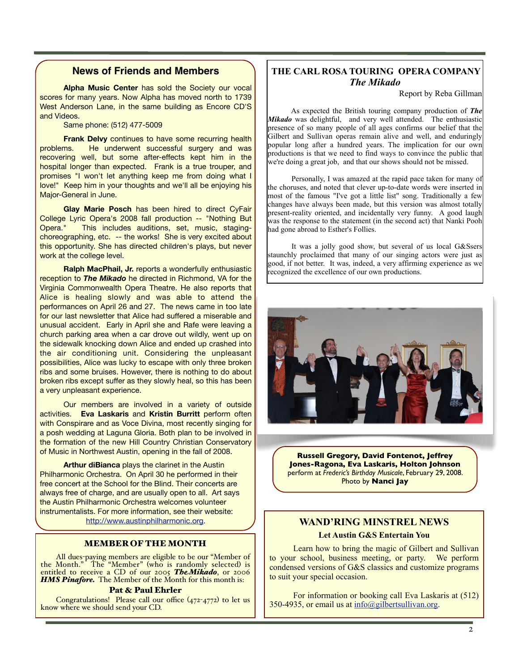#### **News of Friends and Members**

**Alpha Music Center** has sold the Society our vocal scores for many years. Now Alpha has moved north to 1739 West Anderson Lane, in the same building as Encore CD'S and Videos.

Same phone: (512) 477-5009

**Frank Delvy** continues to have some recurring health problems. He underwent successful surgery and was recovering well, but some after-effects kept him in the hospital longer than expected. Frank is a true trouper, and promises "I won't let anything keep me from doing what I love!" Keep him in your thoughts and we'll all be enjoying his Major-General in June.

**Glay Marie Posch** has been hired to direct CyFair College Lyric Opera's 2008 fall production -- "Nothing But Opera." This includes auditions, set, music, stagingchoreographing, etc. -- the works! She is very excited about this opportunity. She has directed children's plays, but never work at the college level.

**Ralph MacPhail, Jr.** reports a wonderfully enthusiastic reception to *The Mikado* he directed in Richmond, VA for the Virginia Commonwealth Opera Theatre. He also reports that Alice is healing slowly and was able to attend the performances on April 26 and 27. The news came in too late for our last newsletter that Alice had suffered a miserable and unusual accident. Early in April she and Rafe were leaving a church parking area when a car drove out wildly, went up on the sidewalk knocking down Alice and ended up crashed into the air conditioning unit. Considering the unpleasant possibilities, Alice was lucky to escape with only three broken ribs and some bruises. However, there is nothing to do about broken ribs except suffer as they slowly heal, so this has been a very unpleasant experience.

Our members are involved in a variety of outside activities. **Eva Laskaris** and **Kristin Burritt** perform often with Conspirare and as Voce Divina, most recently singing for a posh wedding at Laguna Gloria. Both plan to be involved in the formation of the new Hill Country Christian Conservatory of Music in Northwest Austin, opening in the fall of 2008.

**Arthur diBianca** plays the clarinet in the Austin Philharmonic Orchestra. On April 30 he performed in their free concert at the School for the Blind. Their concerts are always free of charge, and are usually open to all. Art says the Austin Philharmonic Orchestra welcomes volunteer instrumentalists. For more information, see their website: [http://www.austinphilharmonic.org.](http://www.austinphilharmonic.org)

#### MEMBER OF THE MONTH

All dues-paying members are eligible to be our "Member of the Month." The "Member" (who is randomly selected) is entitled to receive a CD of our 2005 *TheMikado*, or 2006 **HMS Pinafore.** The Member of the Month for this month is:

#### Pat & Paul Ehrler

Congratulations! Please call our office (472-4772) to let us know where we should send your CD.

#### **THE CARL ROSA TOURING OPERA COMPANY** *The Mikado*

Report by Reba Gillman

 As expected the British touring company production of *The Mikado* was delightful, and very well attended. The enthusiastic presence of so many people of all ages confirms our belief that the Gilbert and Sullivan operas remain alive and well, and enduringly popular long after a hundred years. The implication for our own productions is that we need to find ways to convince the public that we're doing a great job, and that our shows should not be missed.

 Personally, I was amazed at the rapid pace taken for many of the choruses, and noted that clever up-to-date words were inserted in most of the famous "I've got a little list" song. Traditionally a few changes have always been made, but this version was almost totally present-reality oriented, and incidentally very funny. A good laugh was the response to the statement (in the second act) that Nanki Pooh had gone abroad to Esther's Follies.

 It was a jolly good show, but several of us local G&Ssers staunchly proclaimed that many of our singing actors were just as good, if not better. It was, indeed, a very affirming experience as we recognized the excellence of our own productions.



**Russell Gregory, David Fontenot, Jeffrey Jones-Ragona, Eva Laskaris, Holton Johnson**  perform at *Frederic's Birthday Musicale*, February 29, 2008. Photo by **Nanci Jay**

## **WAND'RING MINSTREL NEWS Let Austin G&S Entertain You**

 Learn how to bring the magic of Gilbert and Sullivan to your school, business meeting, or party. We perform condensed versions of G&S classics and customize programs to suit your special occasion.

 For information or booking call Eva Laskaris at (512) 350-4935, or email us at  $info(\partial g)$ ilbertsullivan.org.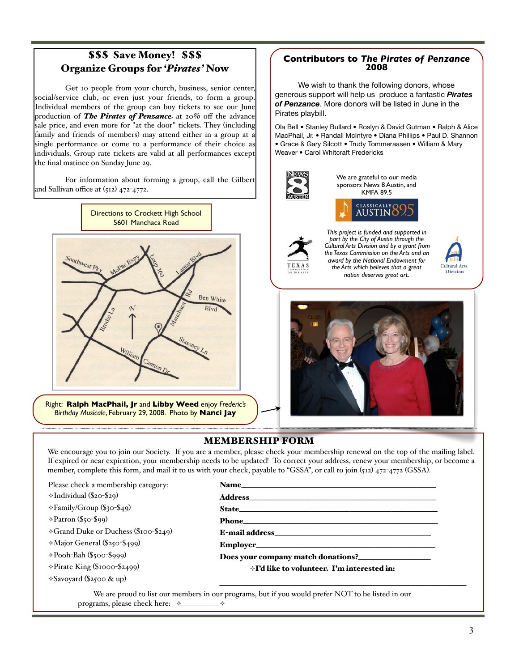#### ss Save Money! \$\$\$ **Organize Groups for '***Pirates'* **Now** from the audience to fill other parts, which the children love. From the children love. From the children love. F volunteers — Katy Fontenot, Donna Delvy, and Eve Schwartzman Carol Whitcraft Fredericks • David E. & Roslyn Richard Hunt • Norman & Emilia Martin • Col.

 $G_{\rm eff}$  and  $S_{\rm eff}$  she said. She added that before, she added that because that because that because the contribution

Get 10 people from your church, business, senior center, We social/service club, or even just your criterial, business, sensor center, social/service club, or even just your friends, to form a group. Individual members of the group can buy tickets to see our June  $\begin{bmatrix} 0 & \text{Perizant} \\ \text{Perizant} & \text{Perizant} \end{bmatrix}$ production of **The Pirates of Penzance** at 20% off the advance **Figure** 1 Pirates pia sale price, and even more for "at the door" tickets. They (including  $\bigcirc$  Ola Bell  $\bullet$  Stewart  $\bullet$  Stewart  $\bullet$  Sullivance Stewart  $\bullet$  Stewart  $\bullet$  Stewart  $\bullet$  Stewart  $\bullet$  Stewart  $\bullet$  Stewart  $\bullet$  Stewart  $\bullet$  Stew family and friends of members) may attend either in a group at a  $\frac{1}{2}$  single performance or come to a performance of their choice as  $\cdot$  Grace & G individuals. Group rate tickets are valid at all performances except  $\begin{array}{|l|}\n\hline\n\end{array}$  Weaver • C marriadatis. Shoup rate densets are related. social/service club, or even just your friends, to form a group.  $\left|\begin{array}{c} \text{generos}\end{array}\right|$ very satisfying to the youthful audience. Despard and Old Adam, and Michael Borysow as the dashing, but not te vana at an performance.

For information about forming a group, call the Gilbert and Sullivan office at  $(512)$  472-4772. For information about forming a group, call the Gilbert  $\mathbf{A}$ 



**Aught: Ralph MacPhail, Jr and Libby Weed** enjoy *Frederic's* **Aughting Contract of Source material the Source material theory of source material theory of source material theory is a structure material of the Source mater Edge of our Control of our Control of our Control of our Control of the Member of interventions of interventions, and given predictions of interventions, and given predictions, and given predictions, and given predictions** 

#### **Contributors to** *The Pirates of Penzance*  **2008**

We wish to thank the following donors, whose generous support will help us produce a fantastic *Pirates of Penzance*. More donors will be listed in June in the Pirates playbill.

Ola Bell • Stanley Bullard • Roslyn & David Gutman • Ralph & Alice MacPhail, Jr. • Randall McIntyre • Diana Phillips • Paul D. Shannon • Grace & Gary Silcott • Trudy Tommeraasen • William & Mary Weaver • Carol Whitcraft Fredericks



We are grateful to our media sponsors News 8 Austin, and KMFA 89.5





*This project is funded and supported in part by the City of Austin through the Cultural Arts Division and by a grant from the Texas Commission on the Arts and an award by the National Endowment for the Arts which believes that a great nation deserves great art.*





#### **MEMBERSHIP FORM Pinaformal Savoy Operator 11 and 21 and 31 point S**

We encourage you to join our Society. If you are a member, please check your membership renewal on the top of the mailing label. If expired or near expiration, your membership needs to be updated! To correct your address, renew your membership, or become a member, complete this form, and mail it to us with your check, payable to "GSSA", or call to join (512) 472-4772 (GSSA).

Please check a membership category:

- $\div$ Individual (\$20-\$29)
- ⟡Family/Group (\$30-\$49)
- $\Diamond$ Patron (\$50-\$99)

**Theresa Wilson** Congratulations! Please call our office (472-4772) to let us know

⟡Grand Duke or Duchess (\$100-\$249)

 $\Diamond$ Major General (\$250-\$499)

⟡Pooh-Bah (\$500-\$999)

⟡Pirate King (\$1000-\$2499)

 $\Diamond$ Savoyard (\$2500 & up)

#### Name\_\_\_\_\_\_\_\_\_\_\_\_\_\_\_\_\_\_\_\_\_\_\_\_\_\_\_\_\_\_\_\_\_\_\_\_\_\_\_\_\_\_\_\_\_\_\_\_\_\_\_

Address\_\_\_\_\_\_\_\_\_\_\_\_\_\_\_\_\_\_\_\_\_\_\_\_\_\_\_\_\_\_\_\_\_\_\_\_\_\_\_\_\_\_\_\_\_\_\_\_\_

has been under way for over the exact three decades, has published critical full full full full full full full

State\_\_\_\_\_\_\_\_\_\_\_\_\_\_\_\_\_\_\_\_\_\_\_\_\_\_\_\_\_\_\_\_\_\_\_\_\_\_\_\_\_\_\_\_\_\_\_\_\_\_\_\_

Phone

E-mail address\_\_\_\_\_\_\_\_\_\_\_\_\_\_\_\_\_\_\_\_\_\_\_\_\_\_\_\_\_\_\_\_\_\_\_\_\_\_\_\_\_

Employer\_\_\_\_\_\_\_\_\_\_\_\_\_\_\_\_\_\_\_\_\_\_\_\_\_\_\_\_\_\_\_\_\_\_\_\_\_\_\_\_\_\_\_\_\_\_\_

Does your company match donations?

⟡I'd like to volunteer. I'm interested in:

 $\overline{\phantom{a}}$  , and the contract of the contract of the contract of the contract of the contract of the contract of the contract of the contract of the contract of the contract of the contract of the contract of the contrac

We are proud to list our members in our programs, but if you would prefer NOT to be listed in our programs, please check here:  $\Diamond$ \_\_\_\_\_\_\_\_\_\_  $\Diamond$